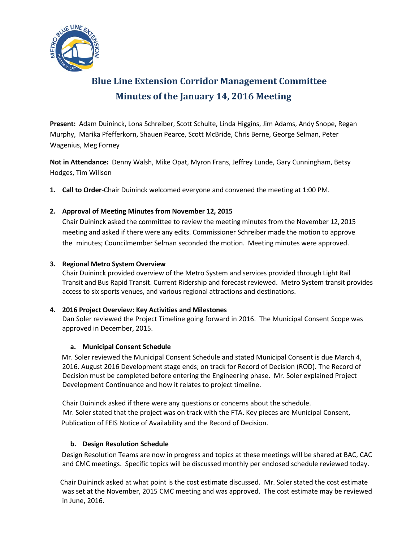

# **Blue Line Extension Corridor Management Committee Minutes of the January 14, 2016 Meeting**

**Present:** Adam Duininck, Lona Schreiber, Scott Schulte, Linda Higgins, Jim Adams, Andy Snope, Regan Murphy, Marika Pfefferkorn, Shauen Pearce, Scott McBride, Chris Berne, George Selman, Peter Wagenius, Meg Forney

**Not in Attendance:** Denny Walsh, Mike Opat, Myron Frans, Jeffrey Lunde, Gary Cunningham, Betsy Hodges, Tim Willson

**1. Call to Order**-Chair Duininck welcomed everyone and convened the meeting at 1:00 PM.

## **2. Approval of Meeting Minutes from November 12, 2015**

Chair Duininck asked the committee to review the meeting minutes from the November 12, 2015 meeting and asked if there were any edits. Commissioner Schreiber made the motion to approve the minutes; Councilmember Selman seconded the motion. Meeting minutes were approved.

#### **3. Regional Metro System Overview**

Chair Duininck provided overview of the Metro System and services provided through Light Rail Transit and Bus Rapid Transit. Current Ridership and forecast reviewed. Metro System transit provides access to six sports venues, and various regional attractions and destinations.

#### **4. 2016 Project Overview: Key Activities and Milestones**

Dan Soler reviewed the Project Timeline going forward in 2016. The Municipal Consent Scope was approved in December, 2015.

#### **a. Municipal Consent Schedule**

 Mr. Soler reviewed the Municipal Consent Schedule and stated Municipal Consent is due March 4, 2016. August 2016 Development stage ends; on track for Record of Decision (ROD). The Record of Decision must be completed before entering the Engineering phase. Mr. Soler explained Project Development Continuance and how it relates to project timeline.

Chair Duininck asked if there were any questions or concerns about the schedule. Mr. Soler stated that the project was on track with the FTA. Key pieces are Municipal Consent, Publication of FEIS Notice of Availability and the Record of Decision.

#### **b. Design Resolution Schedule**

 Design Resolution Teams are now in progress and topics at these meetings will be shared at BAC, CAC and CMC meetings. Specific topics will be discussed monthly per enclosed schedule reviewed today.

 Chair Duininck asked at what point is the cost estimate discussed. Mr. Soler stated the cost estimate was set at the November, 2015 CMC meeting and was approved. The cost estimate may be reviewed in June, 2016.